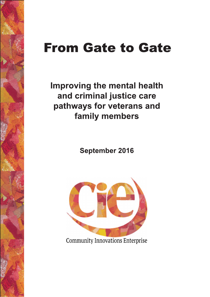# **From Gate to Gate**

Improving the mental health and criminal justice care pathways for veterans and family members

**September 2016** 



**Community Innovations Enterprise**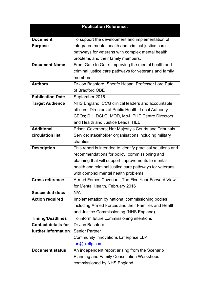| <b>Publication Reference:</b> |                                                             |  |
|-------------------------------|-------------------------------------------------------------|--|
|                               |                                                             |  |
| <b>Document</b>               | To support the development and implementation of            |  |
| <b>Purpose</b>                | integrated mental health and criminal justice care          |  |
|                               | pathways for veterans with complex mental health            |  |
|                               | problems and their family members.                          |  |
| <b>Document Name</b>          | From Gate to Gate: Improving the mental health and          |  |
|                               | criminal justice care pathways for veterans and family      |  |
|                               | members                                                     |  |
| <b>Authors</b>                | Dr Jon Bashford, Sherife Hasan, Professor Lord Patel        |  |
|                               | of Bradford OBE                                             |  |
| <b>Publication Date</b>       | September 2016                                              |  |
| <b>Target Audience</b>        | NHS England; CCG clinical leaders and accountable           |  |
|                               | officers; Directors of Public Health; Local Authority       |  |
|                               | CEOs; DH, DCLG, MOD, MoJ, PHE Centre Directors              |  |
|                               | and Health and Justice Leads; HEE                           |  |
| <b>Additional</b>             | Prison Governors; Her Majesty's Courts and Tribunals        |  |
| circulation list              | Service; stakeholder organisations including military       |  |
|                               | charities.                                                  |  |
| <b>Description</b>            | This report is intended to identify practical solutions and |  |
|                               | recommendations for policy, commissioning and               |  |
|                               | planning that will support improvements to mental           |  |
|                               | health and criminal justice care pathways for veterans      |  |
|                               | with complex mental health problems.                        |  |
| <b>Cross reference</b>        | Armed Forces Covenant, The Five Year Forward View           |  |
|                               | for Mental Health, February 2016                            |  |
| <b>Succeeded docs</b>         | N/A                                                         |  |
| <b>Action required</b>        | Implementation by national commissioning bodies             |  |
|                               | including Armed Forces and their Families and Health        |  |
|                               | and Justice Commissioning (NHS England)                     |  |
| <b>Timing/Deadlines</b>       | To inform future commissioning intentions                   |  |
| <b>Contact details for</b>    | Dr Jon Bashford                                             |  |
| further information           | <b>Senior Partner</b>                                       |  |
|                               | <b>Community Innovations Enterprise LLP</b>                 |  |
|                               | jon@ciellp.com                                              |  |
| <b>Document status</b>        | An independent report arising from the Scenario             |  |
|                               | <b>Planning and Family Consultation Workshops</b>           |  |
|                               | commissioned by NHS England.                                |  |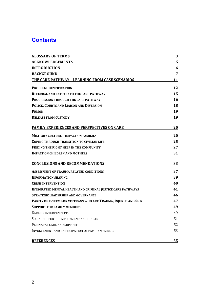# **Contents**

| <b>GLOSSARY OF TERMS</b>                                           | 3              |
|--------------------------------------------------------------------|----------------|
| <b>ACKNOWLEDGEMENTS</b>                                            | 5              |
| <b>INTRODUCTION</b>                                                | 6              |
| <b>BACKGROUND</b>                                                  | $\overline{7}$ |
| THE CARE PATHWAY - LEARNING FROM CASE SCENARIOS                    | 11             |
| <b>PROBLEM IDENTIFICATION</b>                                      | 12             |
| <b>REFERRAL AND ENTRY INTO THE CARE PATHWAY</b>                    | 15             |
| <b>PROGRESSION THROUGH THE CARE PATHWAY</b>                        | 16             |
| POLICE, COURTS AND LIAISON AND DIVERSION                           | 18             |
| <b>PRISON</b>                                                      | 19             |
| <b>RELEASE FROM CUSTODY</b>                                        | 19             |
| <b>FAMILY EXPERIENCES AND PERSPECTIVES ON CARE</b>                 | 20             |
| <b>MILITARY CULTURE - IMPACT ON FAMILIES</b>                       | 20             |
| <b>COPING THROUGH TRANSITION TO CIVILIAN LIFE</b>                  | 25             |
| FINDING THE RIGHT HELP IN THE COMMUNITY                            | 27             |
| <b>IMPACT ON CHILDREN AND MOTHERS</b>                              | 31             |
| <b>CONCLUSIONS AND RECOMMENDATIONS</b>                             | 33             |
| <b>ASSESSMENT OF TRAUMA RELATED CONDITIONS</b>                     | 37             |
| <b>INFORMATION SHARING</b>                                         | 39             |
| <b>CRISIS INTERVENTION</b>                                         | 40             |
| <b>INTEGRATED MENTAL HEALTH AND CRIMINAL JUSTICE CARE PATHWAYS</b> | 41             |
| <b>STRATEGIC LEADERSHIP AND GOVERNANCE</b>                         | 46             |
| PARITY OF ESTEEM FOR VETERANS WHO ARE TRAUMA, INJURED AND SICK     | 47             |
| <b>SUPPORT FOR FAMILY MEMBERS</b>                                  | 49             |
| <b>EARLIER INTERVENTIONS</b>                                       | 49             |
| SOCIAL SUPPORT - EMPLOYMENT AND HOUSING                            | 51             |
| PERINATAL CARE AND SUPPORT                                         | 52             |
| INVOLVEMENT AND PARTICIPATION OF FAMILY MEMBERS                    | 53             |
| <b>REFERENCES</b>                                                  | <u>55</u>      |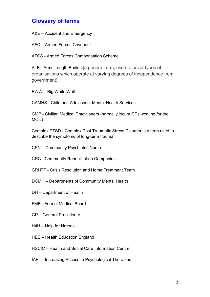# **Glossary of terms**

A&E – Accident and Emergency

AFC – Armed Forces Covenant

AFCS - Armed Forces Compensation Scheme

ALB - Arms Length Bodies (a general term, used to cover types of organisations which operate at varying degrees of independence from government).

BWW – Big White Wall

CAMHS - Child and Adolescent Mental Health Services

CMP - Civilian Medical Practitioners (normally locum GPs working for the MOD)

Complex PTSD - Complex Post Traumatic Stress Disorder is a term used to describe the symptoms of long-term trauma.

- CPN Community Psychiatric Nurse
- CRC Community Rehabilitation Companies
- CRHTT Crisis Resolution and Home Treatment Team
- DCMH Departments of Community Mental Health
- DH Department of Health
- FMB Formal Medical Board
- GP General Practitioner
- H4H Help for Heroes
- HEE Health Education England
- HSCIC Health and Social Care Information Centre
- IAPT Increasing Access to Psychological Therapies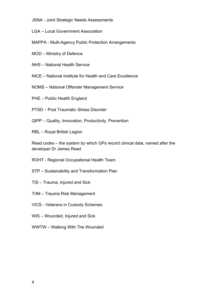- JSNA Joint Strategic Needs Assessments
- LGA Local Government Association
- MAPPA Multi-Agency Public Protection Arrangements
- MOD Ministry of Defence
- NHS National Health Service
- NICE National Institute for Health and Care Excellence
- NOMS National Offender Management Service
- PHE Public Health England
- PTSD Post Traumatic Stress Disorder
- QIPP Quality, Innovation, Productivity, Prevention
- RBL Royal British Legion

Read codes – the system by which GPs record clinical data, named after the developer Dr James Read

- ROHT Regional Occupational Health Team
- STP Sustainability and Transformation Plan
- TIS Trauma, Injured and Sick
- TrIM Trauma Risk Management
- VICS Veterans in Custody Schemes
- WIS Wounded, Injured and Sick
- WWTW Walking With The Wounded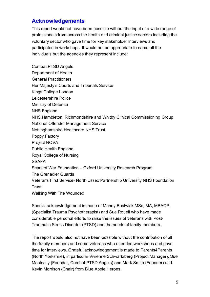# **Acknowledgements**

This report would not have been possible without the input of a wide range of professionals from across the health and criminal justice sectors including the voluntary sector who gave time for key stakeholder interviews and participated in workshops. It would not be appropriate to name all the individuals but the agencies they represent include:

Combat PTSD Angels Department of Health General Practitioners Her Majesty's Courts and Tribunals Service Kings College London Leicestershire Police Ministry of Defence NHS England NHS Hambleton, Richmondshire and Whitby Clinical Commissioning Group National Offender Management Service Nottinghamshire Healthcare NHS Trust Poppy Factory Project NOVA Public Health England Royal College of Nursing **SSAFA** Scars of War Foundation – Oxford University Research Program The Grenadier Guards Veterans First Service- North Essex Partnership University NHS Foundation Trust Walking With The Wounded

Special acknowledgement is made of Mandy Bostwick MSc, MA, MBACP, (Specialist Trauma Psychotherapist) and Sue Rouell who have made considerable personal efforts to raise the issues of veterans with Post-Traumatic Stress Disorder (PTSD) and the needs of family members.

The report would also not have been possible without the contribution of all the family members and some veterans who attended workshops and gave time for interviews. Grateful acknowledgement is made to Parents4Parents (North Yorkshire), in particular Vivienne Schwartzberg (Project Manager), Sue MacInally (Founder, Combat PTSD Angels) and Mark Smith (Founder) and Kevin Morrison (Chair) from Blue Apple Heroes.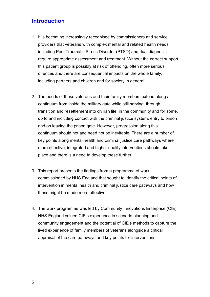# **Introduction**

- 1. It is becoming increasingly recognised by commissioners and service providers that veterans with complex mental and related health needs, including Post Traumatic Stress Disorder (PTSD) and dual diagnosis, require appropriate assessment and treatment. Without the correct support, this patient group is possibly at risk of offending, often more serious offences and there are consequential impacts on the whole family, including partners and children and for society in general.
- 2. The needs of these veterans and their family members extend along a continuum from inside the military gate while still serving, through transition and resettlement into civilian life, in the community and for some, up to and including contact with the criminal justice system, entry to prison and on leaving the prison gate. However, progression along this continuum should not and need not be inevitable. There are a number of key points along mental health and criminal justice care pathways where more effective, integrated and higher quality interventions should take place and there is a need to develop these further.
- 3. This report presents the findings from a programme of work, commissioned by NHS England that sought to identify the critical points of intervention in mental health and criminal justice care pathways and how these might be made more effective.
- 4. The work programme was led by Community Innovations Enterprise (CIE). NHS England valued CIE's experience in scenario planning and community engagement and the potential of CIE's methods to capture the lived experience of family members of veterans alongside a critical appraisal of the care pathways and key points for interventions.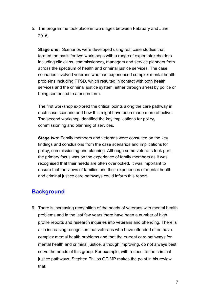5. The programme took place in two stages between February and June 2016:

**Stage one:** Scenarios were developed using real case studies that formed the basis for two workshops with a range of expert stakeholders including clinicians, commissioners, managers and service planners from across the spectrum of health and criminal justice services. The case scenarios involved veterans who had experienced complex mental health problems including PTSD, which resulted in contact with both health services and the criminal justice system, either through arrest by police or being sentenced to a prison term.

The first workshop explored the critical points along the care pathway in each case scenario and how this might have been made more effective. The second workshop identified the key implications for policy, commissioning and planning of services.

**Stage two:** Family members and veterans were consulted on the key findings and conclusions from the case scenarios and implications for policy, commissioning and planning. Although some veterans took part, the primary focus was on the experience of family members as it was recognised that their needs are often overlooked. It was important to ensure that the views of families and their experiences of mental health and criminal justice care pathways could inform this report.

# **Background**

6. There is increasing recognition of the needs of veterans with mental health problems and in the last few years there have been a number of high profile reports and research inquiries into veterans and offending. There is also increasing recognition that veterans who have offended often have complex mental health problems and that the current care pathways for mental health and criminal justice, although improving, do not always best serve the needs of this group. For example, with respect to the criminal justice pathways, Stephen Philips QC MP makes the point in his review that: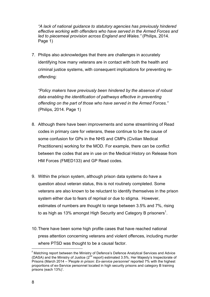*"A lack of national guidance to statutory agencies has previously hindered effective working with offenders who have served in the Armed Forces and led to piecemeal provision across England and Wales."* (Philips, 2014. Page 1)

7. Philips also acknowledges that there are challenges in accurately identifying how many veterans are in contact with both the health and criminal justice systems, with consequent implications for preventing reoffending:

*"Policy makers have previously been hindered by the absence of robust data enabling the identification of pathways effective in preventing offending on the part of those who have served in the Armed Forces."*  (Philips, 2014. Page 1)

- 8. Although there have been improvements and some streamlining of Read codes in primary care for veterans, these continue to be the cause of some confusion for GPs in the NHS and CMPs (Civilian Medical Practitioners) working for the MOD. For example, there can be conflict between the codes that are in use on the Medical History on Release from HM Forces (FMED133) and GP Read codes.
- 9. Within the prison system, although prison data systems do have a question about veteran status, this is not routinely completed. Some veterans are also known to be reluctant to identify themselves in the prison system either due to fears of reprisal or due to stigma. However, estimates of numbers are thought to range between 3.5% and 7%, rising to as high as 13% amongst High Security and Category B prisoners<sup>1</sup>.
- 10.There have been some high profile cases that have reached national press attention concerning veterans and violent offences, including murder where PTSD was thought to be a causal factor.

*1*  $I$  Matching report between the Ministry of Defence's Defence Analytical Services and Advice (DASA) and the Ministry of Justice (2nd report) estimated 3.5%. Her Majesty's Inspectorate of Prisons (March 2014 – *'People in prison: Ex-service personnel'* reported 7% with the highest proportions of ex-Service personnel located in high security prisons and category B training prisons (each 13%)'.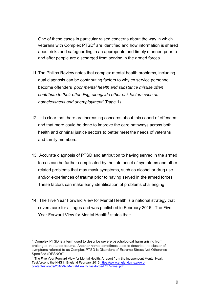One of these cases in particular raised concerns about the way in which veterans with Complex  $PTSD<sup>2</sup>$  are identified and how information is shared about risks and safeguarding in an appropriate and timely manner, prior to and after people are discharged from serving in the armed forces.

- 11.The Philips Review notes that complex mental health problems, including dual diagnosis can be contributing factors to why ex service personnel become offenders *'poor mental health and substance misuse often contribute to their offending, alongside other risk factors such as homelessness and unemployment'* (Page 1).
- 12. It is clear that there are increasing concerns about this cohort of offenders and that more could be done to improve the care pathways across both health and criminal justice sectors to better meet the needs of veterans and family members.
- 13. Accurate diagnosis of PTSD and attribution to having served in the armed forces can be further complicated by the late onset of symptoms and other related problems that may mask symptoms, such as alcohol or drug use and/or experiences of trauma prior to having served in the armed forces. These factors can make early identification of problems challenging.
- 14. The Five Year Forward View for Mental Health is a national strategy that covers care for all ages and was published in February 2016. The Five Year Forward View for Mental Health<sup>3</sup> states that:

 $2$  Complex PTSD is a term used to describe severe psychological harm arising from prolonged, repeated trauma. Another name sometimes used to describe the cluster of symptoms referred to as Complex PTSD is Disorders of Extreme Stress Not Otherwise Specified (DESNOS)

 $3$  The Five Year Forward View for Mental Health. A report from the independent Mental Health Taskforce to the NHS in England February 2016 https://www.england.nhs.uk/wpcontent/uploads/2016/02/Mental-Health-Taskforce-FYFV-final.pdf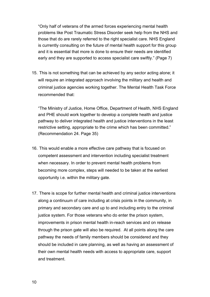"Only half of veterans of the armed forces experiencing mental health problems like Post Traumatic Stress Disorder seek help from the NHS and those that do are rarely referred to the right specialist care. NHS England is currently consulting on the future of mental health support for this group and it is essential that more is done to ensure their needs are identified early and they are supported to access specialist care swiftly." (Page 7)

15. This is not something that can be achieved by any sector acting alone; it will require an integrated approach involving the military and health and criminal justice agencies working together. The Mental Health Task Force recommended that:

"The Ministry of Justice, Home Office, Department of Health, NHS England and PHE should work together to develop a complete health and justice pathway to deliver integrated health and justice interventions in the least restrictive setting, appropriate to the crime which has been committed." (Recommendation 24. Page 35)

- 16. This would enable a more effective care pathway that is focused on competent assessment and intervention including specialist treatment when necessary. In order to prevent mental health problems from becoming more complex, steps will needed to be taken at the earliest opportunity i.e. within the military gate.
- 17. There is scope for further mental health and criminal justice interventions along a continuum of care including at crisis points in the community, in primary and secondary care and up to and including entry to the criminal justice system. For those veterans who do enter the prison system, improvements in prison mental health in-reach services and on release through the prison gate will also be required. At all points along the care pathway the needs of family members should be considered and they should be included in care planning, as well as having an assessment of their own mental health needs with access to appropriate care, support and treatment.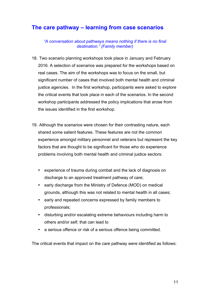# **The care pathway – learning from case scenarios**

*"A conversation about pathways means nothing if there is no final destination." (Family member)*

- 18. Two scenario planning workshops took place in January and February 2016. A selection of scenarios was prepared for the workshops based on real cases. The aim of the workshops was to focus on the small, but significant number of cases that involved both mental health and criminal justice agencies. In the first workshop, participants were asked to explore the critical events that took place in each of the scenarios. In the second workshop participants addressed the policy implications that arose from the issues identified in the first workshop.
- 19. Although the scenarios were chosen for their contrasting nature, each shared some salient features. These features are not the common experience amongst military personnel and veterans but represent the key factors that are thought to be significant for those who do experience problems involving both mental health and criminal justice sectors:
	- experience of trauma during combat and the lack of diagnosis on discharge to an approved treatment pathway of care;
	- early discharge from the Ministry of Defence (MOD) on medical grounds, although this was not related to mental health in all cases;
	- early and repeated concerns expressed by family members to professionals;
	- disturbing and/or escalating extreme behaviours including harm to others and/or self; that can lead to
	- a serious offence or risk of a serious offence being committed.

The critical events that impact on the care pathway were identified as follows: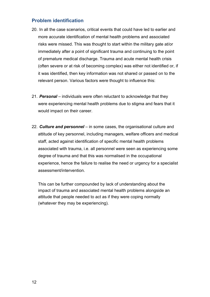## **Problem identification**

- 20. In all the case scenarios, critical events that could have led to earlier and more accurate identification of mental health problems and associated risks were missed. This was thought to start within the military gate at/or immediately after a point of significant trauma and continuing to the point of premature medical discharge. Trauma and acute mental health crisis (often severe or at risk of becoming complex) was either not identified or, if it was identified, then key information was not shared or passed on to the relevant person. Various factors were thought to influence this:
- 21. *Personal* individuals were often reluctant to acknowledge that they were experiencing mental health problems due to stigma and fears that it would impact on their career.
- 22. *Culture and personnel* in some cases, the organisational culture and attitude of key personnel, including managers, welfare officers and medical staff, acted against identification of specific mental health problems associated with trauma, i.e. all personnel were seen as experiencing some degree of trauma and that this was normalised in the occupational experience, hence the failure to realise the need or urgency for a specialist assessment/intervention.

This can be further compounded by lack of understanding about the impact of trauma and associated mental health problems alongside an attitude that people needed to act as if they were coping normally (whatever they may be experiencing).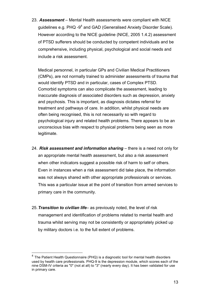23. *Assessment* – Mental Health assessments were compliant with NICE guidelines e.g.  $PHQ - 9<sup>4</sup>$  and GAD (Generalised Anxiety Disorder Scale). However according to the NICE guideline (NICE, 2005 1.4.2) assessment of PTSD sufferers should be conducted by competent individuals and be comprehensive, including physical, psychological and social needs and include a risk assessment.

Medical personnel, in particular GPs and Civilian Medical Practitioners (CMPs), are not normally trained to administer assessments of trauma that would identify PTSD and in particular, cases of Complex PTSD. Comorbid symptoms can also complicate the assessment, leading to inaccurate diagnosis of associated disorders such as depression, anxiety and psychosis. This is important, as diagnosis dictates referral for treatment and pathways of care. In addition, whilst physical needs are often being recognised, this is not necessarily so with regard to psychological injury and related health problems. There appears to be an unconscious bias with respect to physical problems being seen as more legitimate.

- 24. *Risk assessment and information sharing* there is a need not only for an appropriate mental health assessment, but also a risk assessment when other indicators suggest a possible risk of harm to self or others. Even in instances when a risk assessment did take place, the information was not always shared with other appropriate professionals or services. This was a particular issue at the point of transition from armed services to primary care in the community.
- 25.*Transition to civilian life* as previously noted, the level of risk management and identification of problems related to mental health and trauma whilst serving may not be consistently or appropriately picked up by military doctors i.e. to the full extent of problems.

 $4$  The Patient Health Questionnaire (PHQ) is a diagnostic tool for mental health disorders used by health care professionals. PHQ-9 is the depression module, which scores each of the nine DSM-IV criteria as "0" (not at all) to "3" (nearly every day). It has been validated for use in primary care.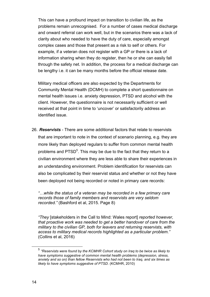This can have a profound impact on transition to civilian life, as the problems remain unrecognised. For a number of cases medical discharge and onward referral can work well, but in the scenarios there was a lack of clarity about who needed to have the duty of care, especially amongst complex cases and those that present as a risk to self or others. For example, if a veteran does not register with a GP or there is a lack of information sharing when they do register, then he or she can easily fall through the safety net. In addition, the process for a medical discharge can be lengthy i.e. it can be many months before the official release date.

Military medical officers are also expected by the Departments for Community Mental Health (DCMH) to complete a short questionnaire on mental health issues i.e. anxiety depression, PTSD and alcohol with the client. However, the questionnaire is not necessarily sufficient or well received at that point in time to 'uncover' or satisfactorily address an identified issue.

26. *Reservists* - There are some additional factors that relate to reservists that are important to note in the context of scenario planning, e.g. they are more likely than deployed regulars to suffer from common mental health problems and PTSD<sup>5</sup>. This may be due to the fact that they return to a civilian environment where they are less able to share their experiences in an understanding environment. Problem identification for reservists can also be complicated by their reservist status and whether or not they have been deployed not being recorded or noted in primary care records:

*"…while the status of a veteran may be recorded in a few primary care records those of family members and reservists are very seldom recorded."* (Bashford et al, 2015. Page 8)

*"They* [stakeholders in the Call to Mind: Wales report] *reported however, that proactive work was needed to get a better handover of care from the military to the civilian GP, both for leavers and returning reservists, with access to military medical records highlighted as a particular problem."*  (Collins et al, 2016)

 <sup>5</sup> *"Reservists were found by the KCMHR Cohort study on Iraq to be twice as likely to have symptoms suggestive of common mental health problems (depression, stress, anxiety and so on) than fellow Reservists who had not been to Iraq, and six times as likely to have symptoms suggestive of PTSD.* (KCMHR, 2010)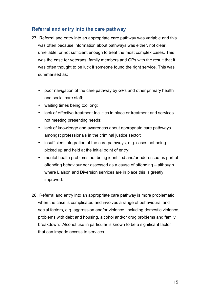## **Referral and entry into the care pathway**

- 27. Referral and entry into an appropriate care pathway was variable and this was often because information about pathways was either, not clear, unreliable, or not sufficient enough to treat the most complex cases. This was the case for veterans, family members and GPs with the result that it was often thought to be luck if someone found the right service. This was summarised as:
	- poor navigation of the care pathway by GPs and other primary health and social care staff;
	- waiting times being too long;
	- lack of effective treatment facilities in place or treatment and services not meeting presenting needs;
	- lack of knowledge and awareness about appropriate care pathways amongst professionals in the criminal justice sector;
	- insufficient integration of the care pathways, e.g. cases not being picked up and held at the initial point of entry;
	- mental health problems not being identified and/or addressed as part of offending behaviour nor assessed as a cause of offending – although where Liaison and Diversion services are in place this is greatly improved.
- 28. Referral and entry into an appropriate care pathway is more problematic when the case is complicated and involves a range of behavioural and social factors, e.g. aggression and/or violence, including domestic violence, problems with debt and housing, alcohol and/or drug problems and family breakdown. Alcohol use in particular is known to be a significant factor that can impede access to services.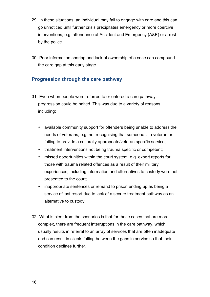- 29. In these situations, an individual may fail to engage with care and this can go unnoticed until further crisis precipitates emergency or more coercive interventions, e.g. attendance at Accident and Emergency (A&E) or arrest by the police.
- 30. Poor information sharing and lack of ownership of a case can compound the care gap at this early stage.

## **Progression through the care pathway**

- 31. Even when people were referred to or entered a care pathway, progression could be halted. This was due to a variety of reasons including:
	- available community support for offenders being unable to address the needs of veterans, e.g. not recognising that someone is a veteran or failing to provide a culturally appropriate/veteran specific service;
	- treatment interventions not being trauma specific or competent;
	- missed opportunities within the court system, e.g. expert reports for those with trauma related offences as a result of their military experiences, including information and alternatives to custody were not presented to the court;
	- inappropriate sentences or remand to prison ending up as being a service of last resort due to lack of a secure treatment pathway as an alternative to custody.
- 32. What is clear from the scenarios is that for those cases that are more complex, there are frequent interruptions in the care pathway, which usually results in referral to an array of services that are often inadequate and can result in clients falling between the gaps in service so that their condition declines further.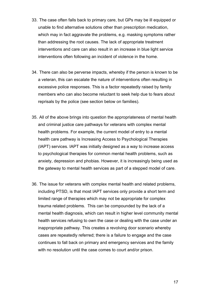- 33. The case often falls back to primary care, but GPs may be ill equipped or unable to find alternative solutions other than prescription medication, which may in fact aggravate the problems, e.g. masking symptoms rather than addressing the root causes. The lack of appropriate treatment interventions and care can also result in an increase in blue light service interventions often following an incident of violence in the home.
- 34. There can also be perverse impacts, whereby if the person is known to be a veteran, this can escalate the nature of interventions often resulting in excessive police responses. This is a factor repeatedly raised by family members who can also become reluctant to seek help due to fears about reprisals by the police (see section below on families).
- 35. All of the above brings into question the appropriateness of mental health and criminal justice care pathways for veterans with complex mental health problems. For example, the current model of entry to a mental health care pathway is Increasing Access to Psychological Therapies (IAPT) services. IAPT was initially designed as a way to increase access to psychological therapies for common mental health problems, such as anxiety, depression and phobias. However, it is increasingly being used as the gateway to mental health services as part of a stepped model of care.
- 36. The issue for veterans with complex mental health and related problems, including PTSD, is that most IAPT services only provide a short term and limited range of therapies which may not be appropriate for complex trauma related problems. This can be compounded by the lack of a mental health diagnosis, which can result in higher level community mental health services refusing to own the case or dealing with the case under an inappropriate pathway. This creates a revolving door scenario whereby cases are repeatedly referred; there is a failure to engage and the case continues to fall back on primary and emergency services and the family with no resolution until the case comes to court and/or prison.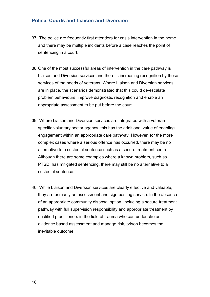#### **Police, Courts and Liaison and Diversion**

- 37. The police are frequently first attenders for crisis intervention in the home and there may be multiple incidents before a case reaches the point of sentencing in a court.
- 38.One of the most successful areas of intervention in the care pathway is Liaison and Diversion services and there is increasing recognition by these services of the needs of veterans. Where Liaison and Diversion services are in place, the scenarios demonstrated that this could de-escalate problem behaviours, improve diagnostic recognition and enable an appropriate assessment to be put before the court.
- 39. Where Liaison and Diversion services are integrated with a veteran specific voluntary sector agency, this has the additional value of enabling engagement within an appropriate care pathway. However, for the more complex cases where a serious offence has occurred, there may be no alternative to a custodial sentence such as a secure treatment centre. Although there are some examples where a known problem, such as PTSD, has mitigated sentencing, there may still be no alternative to a custodial sentence.
- 40. While Liaison and Diversion services are clearly effective and valuable, they are primarily an assessment and sign posting service. In the absence of an appropriate community disposal option, including a secure treatment pathway with full supervision responsibility and appropriate treatment by qualified practitioners in the field of trauma who can undertake an evidence based assessment and manage risk, prison becomes the inevitable outcome.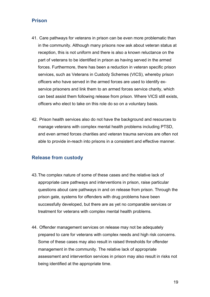## **Prison**

- 41. Care pathways for veterans in prison can be even more problematic than in the community. Although many prisons now ask about veteran status at reception, this is not uniform and there is also a known reluctance on the part of veterans to be identified in prison as having served in the armed forces. Furthermore, there has been a reduction in veteran specific prison services, such as Veterans in Custody Schemes (VICS), whereby prison officers who have served in the armed forces are used to identify exservice prisoners and link them to an armed forces service charity, which can best assist them following release from prison. Where VICS still exists, officers who elect to take on this role do so on a voluntary basis.
- 42. Prison health services also do not have the background and resources to manage veterans with complex mental health problems including PTSD, and even armed forces charities and veteran trauma services are often not able to provide in-reach into prisons in a consistent and effective manner.

## **Release from custody**

- 43.The complex nature of some of these cases and the relative lack of appropriate care pathways and interventions in prison, raise particular questions about care pathways in and on release from prison. Through the prison gate, systems for offenders with drug problems have been successfully developed, but there are as yet no comparable services or treatment for veterans with complex mental health problems.
- 44. Offender management services on release may not be adequately prepared to care for veterans with complex needs and high risk concerns. Some of these cases may also result in raised thresholds for offender management in the community. The relative lack of appropriate assessment and intervention services in prison may also result in risks not being identified at the appropriate time.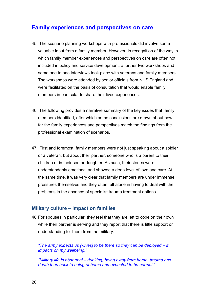## **Family experiences and perspectives on care**

- 45. The scenario planning workshops with professionals did involve some valuable input from a family member. However, in recognition of the way in which family member experiences and perspectives on care are often not included in policy and service development, a further two workshops and some one to one interviews took place with veterans and family members. The workshops were attended by senior officials from NHS England and were facilitated on the basis of consultation that would enable family members in particular to share their lived experiences.
- 46. The following provides a narrative summary of the key issues that family members identified, after which some conclusions are drawn about how far the family experiences and perspectives match the findings from the professional examination of scenarios.
- 47. First and foremost, family members were not just speaking about a soldier or a veteran, but about their partner, someone who is a parent to their children or is their son or daughter. As such, their stories were understandably emotional and showed a deep level of love and care. At the same time, it was very clear that family members are under immense pressures themselves and they often felt alone in having to deal with the problems in the absence of specialist trauma treatment options.

#### **Military culture – impact on families**

48.For spouses in particular, they feel that they are left to cope on their own while their partner is serving and they report that there is little support or understanding for them from the military:

*"The army expects us [wives] to be there so they can be deployed – it impacts on my wellbeing."*

*"Military life is abnormal – drinking, being away from home, trauma and death then back to being at home and expected to be normal."*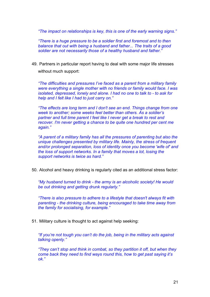*"The impact on relationships is key, this is one of the early warning signs."*

*"There is a huge pressure to be a soldier first and foremost and to then balance that out with being a husband and father... The traits of a good soldier are not necessarily those of a healthy husband and father."*

49. Partners in particular report having to deal with some major life stresses without much support:

*"The difficulties and pressures I've faced as a parent from a military family were everything a single mother with no friends or family would face. I was isolated, depressed, lonely and alone. I had no one to talk to - to ask for help and I felt like I had to just carry on."*

*"The effects are long term and I don't see an end. Things change from one week to another; some weeks feel better than others. As a soldier's partner and full time parent I feel like I never get a break to rest and recover. I'm never getting a chance to be quite one hundred per cent me again."*

*"A parent of a military family has all the pressures of parenting but also the unique challenges presented by military life. Mainly, the stress of frequent and/or prolonged separation, loss of identity once you become 'wife of' and the loss of support networks. In a family that moves a lot, losing the support networks is twice as hard."*

50. Alcohol and heavy drinking is regularly cited as an additional stress factor:

*"My husband turned to drink - the army is an alcoholic society! He would be out drinking and getting drunk regularly."*

*"There is also pressure to adhere to a lifestyle that doesn't always fit with parenting - the drinking culture, being encouraged to take time away from the family for socialising, for example."*

51. Military culture is thought to act against help seeking:

*"If you're not tough you can't do the job, being in the military acts against talking openly."*

*"They can't stop and think in combat, so they partition it off, but when they come back they need to find ways round this, how to get past saying it's ok."*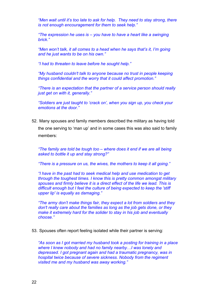*"Men wait until it's too late to ask for help. They need to stay strong, there is not enough encouragement for them to seek help."*

*"The expression he uses is – you have to have a heart like a swinging brick."*

*"Men won't talk, it all comes to a head when he says that's it, I'm going and he just wants to be on his own."*

*"I had to threaten to leave before he sought help."*

*"My husband couldn't talk to anyone because no trust in people keeping things confidential and the worry that it could affect promotion."*

*"There is an expectation that the partner of a service person should really just get on with it, generally."*

*"Soldiers are just taught to 'crack on', when you sign up, you check your emotions at the door."*

52. Many spouses and family members described the military as having told the one serving to 'man up' and in some cases this was also said to family members:

*"The family are told be tough too – where does it end if we are all being asked to bottle it up and stay strong?"* 

*"There is a pressure on us, the wives, the mothers to keep it all going."* 

*"I have in the past had to seek medical help and use medication to get through the toughest times. I know this is pretty common amongst military spouses and firmly believe it is a direct effect of the life we lead. This is difficult enough but I feel the culture of being expected to keep the 'stiff upper lip' is equally as damaging."*

*"The army don't make things fair, they expect a lot from soldiers and they don't really care about the families as long as the job gets done, or they make it extremely hard for the solider to stay in his job and eventually choose."*

53. Spouses often report feeling isolated while their partner is serving:

*"As soon as I got married my husband took a posting for training in a place where I knew nobody and had no family nearby…I was lonely and depressed. I got pregnant again and had a traumatic pregnancy, was in hospital twice because of severe sickness. Nobody from the regiment visited me and my husband was away working."*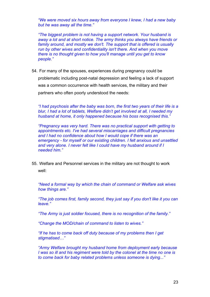*"We were moved six hours away from everyone I knew, I had a new baby but he was away all the time."*

*"The biggest problem is not having a support network. Your husband is away a lot and at short notice. The army thinks you always have friends or family around, and mostly we don't. The support that is offered is usually run by other wives and confidentiality isn't there. And when you move there is no thought given to how you'll manage until you get to know people."*

54. For many of the spouses, experiences during pregnancy could be problematic including post-natal depression and feeling a lack of support was a common occurrence with health services, the military and their partners who often poorly understood the needs:

*"I had psychosis after the baby was born, the first two years of their life is a blur, I had a lot of tablets, Welfare didn't get involved at all, I needed my husband at home, it only happened because his boss recognised this."*

*"Pregnancy was very hard. There was no practical support with getting to appointments etc. I've had several miscarriages and difficult pregnancies and I had no confidence about how I would cope if there was an emergency - for myself or our existing children. I felt anxious and unsettled and very alone. I never felt like I could have my husband around if I needed him."*

55. Welfare and Personnel services in the military are not thought to work well:

*"Need a formal way by which the chain of command or Welfare ask wives how things are."*

*"The job comes first, family second, they just say if you don't like it you can leave."*

*"The Army is just soldier focused, there is no recognition of the family."*

*"Change the MOD/chain of command to listen to wives."*

*"If he has to come back off duty because of my problems then I get stigmatised…"*

*"Army Welfare brought my husband home from deployment early because I was so ill and his regiment were told by the colonel at the time no one is to come back for baby related problems unless someone is dying..."*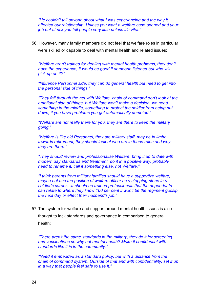*"He couldn't tell anyone about what I was experiencing and the way it affected our relationship. Unless you want a welfare case opened and your job put at risk you tell people very little unless it's vital."*

56. However, many family members did not feel that welfare roles in particular

were skilled or capable to deal with mental health and related issues:

*"Welfare aren't trained for dealing with mental health problems, they don't have the experience, it would be good if someone listened but who will pick up on it?"*

*"Influence Personnel side, they can do general health but need to get into the personal side of things."*

*"They fall through the net with Welfare, chain of command don't look at the emotional side of things, but Welfare won't make a decision, we need something in the middle, something to protect the soldier from being put down, if you have problems you get automatically demoted."*

*"Welfare are not really there for you, they are there to keep the military going."*

*"Welfare is like old Personnel, they are military staff, may be in limbo towards retirement, they should look at who are in these roles and why they are there."*

*"They should review and professionalise Welfare, bring it up to date with modern day standards and treatment, do it in a positive way, probably need to rename it, call it something else, not Welfare."*

*"I think parents from military families should have a supportive welfare, maybe not use the position of welfare officer as a stepping-stone in a soldier's career…It should be trained professionals that the dependants can relate to where they know 100 per cent it won't be the regiment gossip the next day or effect their husband's job."*

57.The system for welfare and support around mental health issues is also thought to lack standards and governance in comparison to general health:

*"There aren't the same standards in the military, they do it for screening and vaccinations so why not mental health? Make it confidential with standards like it is in the community."*

*"Need it embedded as a standard policy, but with a distance from the chain of command system. Outside of that and with confidentiality, set it up in a way that people feel safe to use it."*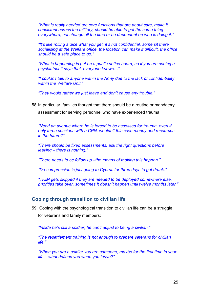*"What is really needed are core functions that are about care, make it consistent across the military, should be able to get the same thing everywhere, not change all the time or be dependent on who is doing it."*

*"It's like rolling a dice what you get, it's not confidential, some sit there socialising at the Welfare office, the location can make it difficult, the office should be a safe place to go."*

*"What is happening is put on a public notice board, so if you are seeing a psychiatrist it says that, everyone knows…"*

*"I couldn't talk to anyone within the Army due to the lack of confidentiality within the Welfare Unit."*

*"They would rather we just leave and don't cause any trouble."*

58.In particular, families thought that there should be a routine or mandatory

assessment for serving personnel who have experienced trauma:

*"Need an avenue where he is forced to be assessed for trauma, even if only three sessions with a CPN, wouldn't this save money and resources in the future?"*

*"There should be fixed assessments, ask the right questions before leaving – there is nothing."*

*"There needs to be follow up –the means of making this happen."*

*"De-compression is just going to Cyprus for three days to get drunk."*

*"TRiM gets skipped if they are needed to be deployed somewhere else, priorities take over, sometimes it doesn't happen until twelve months later."* 

#### **Coping through transition to civilian life**

59. Coping with the psychological transition to civilian life can be a struggle for veterans and family members:

*"Inside he's still a soldier, he can't adjust to being a civilian."*

*"The resettlement training is not enough to prepare veterans for civilian life."* 

*"When you are a soldier you are someone, maybe for the first time in your life – what defines you when you leave?"*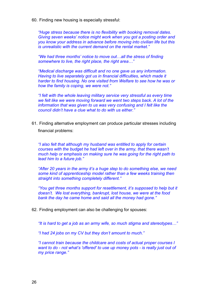60. Finding new housing is especially stressful:

*"Huge stress because there is no flexibility with booking removal dates. Giving seven weeks' notice might work when you got a posting order and you know your address in advance before moving into civilian life but this is unrealistic with the current demand on the rental market."*

*"We had three months' notice to move out…all the stress of finding somewhere to live, the right place, the right area…"*

*"Medical discharge was difficult and no one gave us any information. Having to live separately got us in financial difficulties, which made it harder to find housing. No one visited from Welfare to see how he was or how the family is coping, we were not."*

*"I felt with the whole leaving military service very stressful as every time we felt like we were moving forward we went two steps back. A lot of the information that was given to us was very confusing and I felt like the council didn't have a clue what to do with us either."*

61. Finding alternative employment can produce particular stresses including financial problems:

*"I also felt that although my husband was entitled to apply for certain courses with the budget he had left over in the army, that there wasn't much help or emphasis on making sure he was going for the right path to lead him to a future job."*

*"After 20 years in the army it's a huge step to do something else, we need some kind of apprenticeship model rather than a few weeks training then straight into something completely different."*

*"You get three months support for resettlement, it's supposed to help but it doesn't. We lost everything, bankrupt, lost house, we were at the food bank the day he came home and said all the money had gone."*

62. Finding employment can also be challenging for spouses:

*"It is hard to get a job as an army wife, so much stigma and stereotypes…"*

*"I had 24 jobs on my CV but they don't amount to much."*

*"I cannot train because the childcare and costs of actual proper courses I want to do - not what's 'offered' to use up money pots - is really just out of my price range."*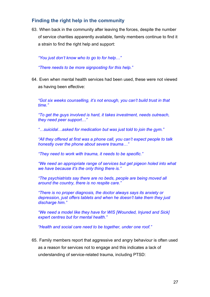## **Finding the right help in the community**

63. When back in the community after leaving the forces, despite the number of service charities apparently available, family members continue to find it a strain to find the right help and support:

*"You just don't know who to go to for help…"*

*"There needs to be more signposting for this help."*

64. Even when mental health services had been used, these were not viewed as having been effective:

*"Got six weeks counselling, it's not enough, you can't build trust in that time."*

*"To get the guys involved is hard, it takes investment, needs outreach, they need peer support…"*

*"…suicidal…asked for medication but was just told to join the gym."*

*"All they offered at first was a phone call, you can't expect people to talk honestly over the phone about severe trauma…"*

*"They need to work with trauma, it needs to be specific."*

*"We need an appropriate range of services but get pigeon holed into what we have because it's the only thing there is."*

*"The psychiatrists say there are no beds, people are being moved all around the country, there is no respite care."*

*"There is no proper diagnosis, the doctor always says its anxiety or depression, just offers tablets and when he doesn't take them they just discharge him."*

*"We need a model like they have for WIS [Wounded, Injured and Sick] expert centres but for mental health."*

*"Health and social care need to be together, under one roof."*

65. Family members report that aggressive and angry behaviour is often used as a reason for services not to engage and this indicates a lack of understanding of service-related trauma, including PTSD: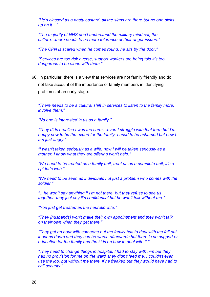*"He's classed as a nasty bastard, all the signs are there but no one picks up on it…"*

*"The majority of NHS don't understand the military mind set, the culture…there needs to be more tolerance of their anger issues."*

*"The CPN is scared when he comes round, he sits by the door."*

*"Services are too risk averse, support workers are being told it's too dangerous to be alone with them."*

66. In particular, there is a view that services are not family friendly and do not take account of the importance of family members in identifying problems at an early stage:

*"There needs to be a cultural shift in services to listen to the family more, involve them."*

*"No one is interested in us as a family."*

*"They didn't realise I was the carer…even I struggle with that term but I'm happy now to be the expert for the family, I used to be ashamed but now I am just angry."*

*"I wasn't taken seriously as a wife, now I will be taken seriously as a mother, I know what they are offering won't help."*

*"We need to be treated as a family unit, treat us as a complete unit; it's a spider's web."*

*"We need to be seen as individuals not just a problem who comes with the soldier."*

*"…he won't say anything if I'm not there, but they refuse to see us together, they just say it's confidential but he won't talk without me."*

*"You just get treated as the neurotic wife."*

*"They [husbands] won't make their own appointment and they won't talk on their own when they get there."*

*"They get an hour with someone but the family has to deal with the fall out, it opens doors and they can be worse afterwards but there is no support or education for the family and the kids on how to deal with it."*

*"They need to change things in hospital, I had to stay with him but they had no provision for me on the ward, they didn't feed me, I couldn't even use the loo, but without me there, if he freaked out they would have had to call security."*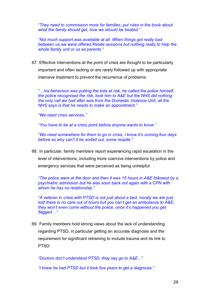*"They need to commission more for families, put rules in the book about what the family should get, how we should be treated."*

*"Not much support was available at all. When things got really bad between us we were offered Relate sessions but nothing really to help the whole family unit or us as parents."*

67. Effective interventions at the point of crisis are thought to be particularly important and often lacking or are rarely followed up with appropriate intensive treatment to prevent the recurrence of problems:

*"…his behaviour was putting the kids at risk, he called the police himself, the police recognised the risk, took him to A&E but the NHS did nothing, the only call we had after was from the Domestic Violence Unit, all the NHS says is that he needs to make an appointment."*

*"We need crisis services."*

*"You have to be at a crisis point before anyone wants to know."*

*"We need somewhere for them to go in crisis, I know it's coming four days before so why can't it be sorted out, some respite."*

68. In particular, family members report experiencing rapid escalation in the level of interventions, including more coercive interventions by police and emergency services that were perceived as being unhelpful:

*"The police were at the door and then it was 15 hours in A&E followed by a psychiatric admission but he was soon back out again with a CPN with whom he has no relationship."*

*"A veteran in crisis with PTSD is not just about a bed, mostly we are just told there is no care out of hours but you can't get an ambulance to A&E, they won't even come without the police, once it's happened you get flagged…"*

69. Family members hold strong views about the lack of understanding regarding PTSD, in particular getting an accurate diagnosis and the requirement for significant retraining to include trauma and its link to PTSD:

*"Doctors don't understand PTSD, they say go to A&E..."*

*"I knew he had PTSD but it took five years to get a diagnosis."*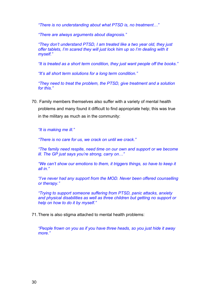*"There is no understanding about what PTSD is, no treatment…"*

*"There are always arguments about diagnosis."*

*"They don't understand PTSD, I am treated like a two year old, they just offer tablets, I'm scared they will just lock him up so I'm dealing with it myself."*

*"It is treated as a short term condition, they just want people off the books."*

*"It's all short term solutions for a long term condition."*

*"They need to treat the problem, the PTSD, give treatment and a solution for this."*

70. Family members themselves also suffer with a variety of mental health problems and many found it difficult to find appropriate help; this was true in the military as much as in the community:

*"It is making me ill."*

*"There is no care for us, we crack on until we crack."*

*"The family need respite, need time on our own and support or we become ill. The GP just says you're strong, carry on…"*

*"We can't show our emotions to them, it triggers things, so have to keep it all in."*

*"I've never had any support from the MOD. Never been offered counselling or therapy."*

*"Trying to support someone suffering from PTSD, panic attacks, anxiety and physical disabilities as well as three children but getting no support or help on how to do it by myself."*

71.There is also stigma attached to mental health problems:

*"People frown on you as if you have three heads, so you just hide it away more."*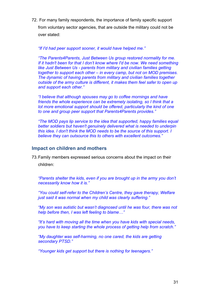72. For many family respondents, the importance of family specific support from voluntary sector agencies, that are outside the military could not be over stated:

#### *"If I'd had peer support sooner, it would have helped me."*

*"The Parents4Parents, Just Between Us group restored normality for me. If it hadn't been for that I don't know where I'd be now. We need something like Just Between Us - parents from military and civilian families getting together to support each other – in every camp, but not on MOD premises. The dynamic of having parents from military and civilian families together outside of the army culture is different, it makes them feel safer to open up and support each other."*

*"I believe that although spouses may go to coffee mornings and have friends the whole experience can be extremely isolating, so I think that a lot more emotional support should be offered, particularly the kind of one to one and group peer support that Parents4Parents provides."*

*"The MOD pays lip service to the idea that supported, happy families equal better soldiers but haven't genuinely delivered what is needed to underpin this idea. I don't think the MOD needs to be the source of this support. I believe they can outsource this to others with excellent outcomes."*

#### **Impact on children and mothers**

73.Family members expressed serious concerns about the impact on their

children:

*"Parents shelter the kids, even if you are brought up in the army you don't necessarily know how it is."*

*"You could self-refer to the Children's Centre, they gave therapy, Welfare just said it was normal when my child was clearly suffering."*

*"My son was autistic but wasn't diagnosed until he was four, there was not help before then, I was left feeling to blame…"*

*"It's hard with moving all the time when you have kids with special needs, you have to keep starting the whole process of getting help from scratch."*

*"My daughter was self-harming, no one cared, the kids are getting secondary PTSD."*

*"Younger kids get support but there is nothing for teenagers."*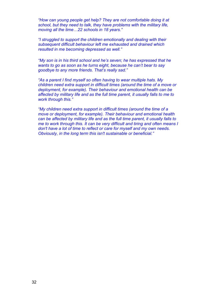*"How can young people get help? They are not comfortable doing it at school, but they need to talk, they have problems with the military life, moving all the time…22 schools in 18 years."*

*"I struggled to support the children emotionally and dealing with their subsequent difficult behaviour left me exhausted and drained which resulted in me becoming depressed as well."*

*"My son is in his third school and he's seven; he has expressed that he wants to go as soon as he turns eight, because he can't bear to say goodbye to any more friends. That's really sad."*

*"As a parent I find myself so often having to wear multiple hats. My children need extra support in difficult times (around the time of a move or deployment, for example). Their behaviour and emotional health can be affected by military life and as the full time parent, it usually falls to me to work through this."*

*"My children need extra support in difficult times (around the time of a move or deployment, for example). Their behaviour and emotional health can be affected by military life and as the full time parent, it usually falls to me to work through this. It can be very difficult and tiring and often means I don't have a lot of time to reflect or care for myself and my own needs. Obviously, in the long term this isn't sustainable or beneficial."*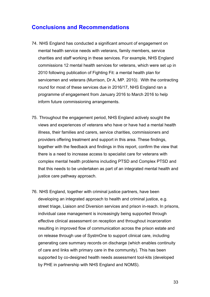## **Conclusions and Recommendations**

- 74. NHS England has conducted a significant amount of engagement on mental health service needs with veterans, family members, service charities and staff working in these services. For example, NHS England commissions 12 mental health services for veterans, which were set up in 2010 following publication of Fighting Fit: a mental health plan for servicemen and veterans (Murrison, Dr A, MP. 2010*)*. With the contracting round for most of these services due in 2016/17, NHS England ran a programme of engagement from January 2016 to March 2016 to help inform future commissioning arrangements.
- 75. Throughout the engagement period, NHS England actively sought the views and experiences of veterans who have or have had a mental health illness, their families and carers, service charities, commissioners and providers offering treatment and support in this area. These findings, together with the feedback and findings in this report, confirm the view that there is a need to increase access to specialist care for veterans with complex mental health problems including PTSD and Complex PTSD and that this needs to be undertaken as part of an integrated mental health and justice care pathway approach.
- 76. NHS England, together with criminal justice partners, have been developing an integrated approach to health and criminal justice, e.g. street triage, Liaison and Diversion services and prison in-reach. In prisons, individual case management is increasingly being supported through effective clinical assessment on reception and throughout incarceration resulting in improved flow of communication across the prison estate and on release through use of SystmOne to support clinical care, including generating care summary records on discharge (which enables continuity of care and links with primary care in the community). This has been supported by co-designed health needs assessment tool-kits (developed by PHE in partnership with NHS England and NOMS).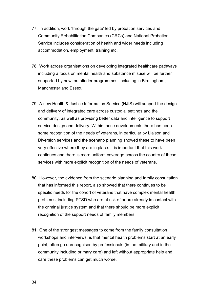- 77. In addition, work 'through the gate' led by probation services and Community Rehabilitation Companies (CRCs) and National Probation Service includes consideration of health and wider needs including accommodation, employment, training etc.
- 78. Work across organisations on developing integrated healthcare pathways including a focus on mental health and substance misuse will be further supported by new 'pathfinder programmes' including in Birmingham, Manchester and Essex.
- 79. A new Health & Justice Information Service (HJIS) will support the design and delivery of integrated care across custodial settings and the community, as well as providing better data and intelligence to support service design and delivery. Within these developments there has been some recognition of the needs of veterans, in particular by Liaison and Diversion services and the scenario planning showed these to have been very effective where they are in place. It is important that this work continues and there is more uniform coverage across the country of these services with more explicit recognition of the needs of veterans.
- 80. However, the evidence from the scenario planning and family consultation that has informed this report, also showed that there continues to be specific needs for the cohort of veterans that have complex mental health problems, including PTSD who are at risk of or are already in contact with the criminal justice system and that there should be more explicit recognition of the support needs of family members.
- 81. One of the strongest messages to come from the family consultation workshops and interviews, is that mental health problems start at an early point, often go unrecognised by professionals (in the military and in the community including primary care) and left without appropriate help and care these problems can get much worse.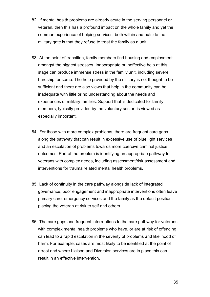- 82. If mental health problems are already acute in the serving personnel or veteran, then this has a profound impact on the whole family and yet the common experience of helping services, both within and outside the military gate is that they refuse to treat the family as a unit.
- 83. At the point of transition, family members find housing and employment amongst the biggest stresses. Inappropriate or ineffective help at this stage can produce immense stress in the family unit, including severe hardship for some. The help provided by the military is not thought to be sufficient and there are also views that help in the community can be inadequate with little or no understanding about the needs and experiences of military families. Support that is dedicated for family members, typically provided by the voluntary sector, is viewed as especially important.
- 84. For those with more complex problems, there are frequent care gaps along the pathway that can result in excessive use of blue light services and an escalation of problems towards more coercive criminal justice outcomes. Part of the problem is identifying an appropriate pathway for veterans with complex needs, including assessment/risk assessment and interventions for trauma related mental health problems.
- 85. Lack of continuity in the care pathway alongside lack of integrated governance, poor engagement and inappropriate interventions often leave primary care, emergency services and the family as the default position, placing the veteran at risk to self and others.
- 86. The care gaps and frequent interruptions to the care pathway for veterans with complex mental health problems who have, or are at risk of offending can lead to a rapid escalation in the severity of problems and likelihood of harm. For example, cases are most likely to be identified at the point of arrest and where Liaison and Diversion services are in place this can result in an effective intervention.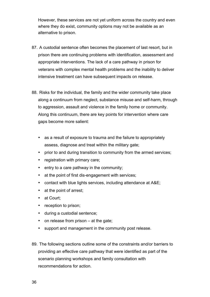However, these services are not yet uniform across the country and even where they do exist, community options may not be available as an alternative to prison.

- 87. A custodial sentence often becomes the placement of last resort, but in prison there are continuing problems with identification, assessment and appropriate interventions. The lack of a care pathway in prison for veterans with complex mental health problems and the inability to deliver intensive treatment can have subsequent impacts on release.
- 88. Risks for the individual, the family and the wider community take place along a continuum from neglect, substance misuse and self-harm, through to aggression, assault and violence in the family home or community. Along this continuum, there are key points for intervention where care gaps become more salient:
	- as a result of exposure to trauma and the failure to appropriately assess, diagnose and treat within the military gate;
	- prior to and during transition to community from the armed services:
	- registration with primary care;
	- entry to a care pathway in the community;
	- at the point of first dis-engagement with services;
	- contact with blue lights services, including attendance at A&E;
	- at the point of arrest;
	- at Court;
	- reception to prison;
	- during a custodial sentence;
	- on release from prison at the gate;
	- support and management in the community post release.
- 89. The following sections outline some of the constraints and/or barriers to providing an effective care pathway that were identified as part of the scenario planning workshops and family consultation with recommendations for action.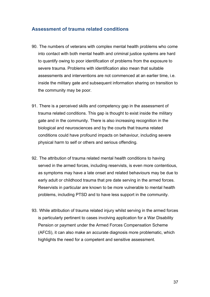#### **Assessment of trauma related conditions**

- 90. The numbers of veterans with complex mental health problems who come into contact with both mental health and criminal justice systems are hard to quantify owing to poor identification of problems from the exposure to severe trauma. Problems with identification also mean that suitable assessments and interventions are not commenced at an earlier time, i.e. inside the military gate and subsequent information sharing on transition to the community may be poor.
- 91. There is a perceived skills and competency gap in the assessment of trauma related conditions. This gap is thought to exist inside the military gate and in the community. There is also increasing recognition in the biological and neurosciences and by the courts that trauma related conditions could have profound impacts on behaviour, including severe physical harm to self or others and serious offending.
- 92. The attribution of trauma related mental health conditions to having served in the armed forces, including reservists, is even more contentious, as symptoms may have a late onset and related behaviours may be due to early adult or childhood trauma that pre date serving in the armed forces. Reservists in particular are known to be more vulnerable to mental health problems, including PTSD and to have less support in the community.
- 93. While attribution of trauma related injury whilst serving in the armed forces is particularly pertinent to cases involving application for a War Disability Pension or payment under the Armed Forces Compensation Scheme (AFCS), it can also make an accurate diagnosis more problematic, which highlights the need for a competent and sensitive assessment.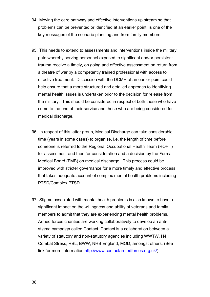- 94. Moving the care pathway and effective interventions up stream so that problems can be prevented or identified at an earlier point, is one of the key messages of the scenario planning and from family members.
- 95. This needs to extend to assessments and interventions inside the military gate whereby serving personnel exposed to significant and/or persistent trauma receive a timely, on going and effective assessment on return from a theatre of war by a competently trained professional with access to effective treatment. Discussion with the DCMH at an earlier point could help ensure that a more structured and detailed approach to identifying mental health issues is undertaken prior to the decision for release from the military. This should be considered in respect of both those who have come to the end of their service and those who are being considered for medical discharge.
- 96. In respect of this latter group, Medical Discharge can take considerable time (years in some cases) to organise, i.e. the length of time before someone is referred to the Regional Occupational Health Team (ROHT) for assessment and then for consideration and a decision by the Formal Medical Board (FMB) on medical discharge. This process could be improved with stricter governance for a more timely and effective process that takes adequate account of complex mental health problems including PTSD/Complex PTSD.
- 97. Stigma associated with mental health problems is also known to have a significant impact on the willingness and ability of veterans and family members to admit that they are experiencing mental health problems. Armed forces charities are working collaboratively to develop an antistigma campaign called Contact. Contact is a collaboration between a variety of statutory and non-statutory agencies including WWTW, H4H, Combat Stress, RBL, BWW, NHS England, MOD, amongst others. (See link for more information http://www.contactarmedforces.org.uk/)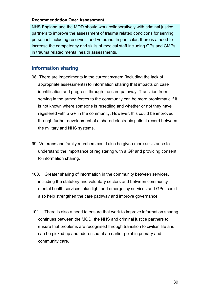#### **Recommendation One: Assessment**

NHS England and the MOD should work collaboratively with criminal justice partners to improve the assessment of trauma related conditions for serving personnel including reservists and veterans. In particular, there is a need to increase the competency and skills of medical staff including GPs and CMPs in trauma related mental health assessments.

## **Information sharing**

- 98. There are impediments in the current system (including the lack of appropriate assessments) to information sharing that impacts on case identification and progress through the care pathway. Transition from serving in the armed forces to the community can be more problematic if it is not known where someone is resettling and whether or not they have registered with a GP in the community. However, this could be improved through further development of a shared electronic patient record between the military and NHS systems.
- 99. Veterans and family members could also be given more assistance to understand the importance of registering with a GP and providing consent to information sharing.
- 100. Greater sharing of information in the community between services, including the statutory and voluntary sectors and between community mental health services, blue light and emergency services and GPs, could also help strengthen the care pathway and improve governance.
- 101. There is also a need to ensure that work to improve information sharing continues between the MOD, the NHS and criminal justice partners to ensure that problems are recognised through transition to civilian life and can be picked up and addressed at an earlier point in primary and community care.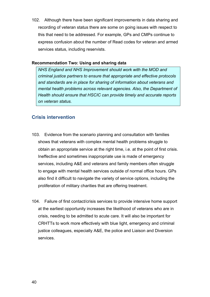102. Although there have been significant improvements in data sharing and recording of veteran status there are some on going issues with respect to this that need to be addressed. For example, GPs and CMPs continue to express confusion about the number of Read codes for veteran and armed services status, including reservists.

#### **Recommendation Two: Using and sharing data**

*NHS England and NHS Improvement should work with the MOD and criminal justice partners to ensure that appropriate and effective protocols and standards are in place for sharing of information about veterans and mental health problems across relevant agencies. Also, the Department of Health should ensure that HSCIC can provide timely and accurate reports on veteran status.*

## **Crisis intervention**

- 103. Evidence from the scenario planning and consultation with families shows that veterans with complex mental health problems struggle to obtain an appropriate service at the right time, i.e. at the point of first crisis. Ineffective and sometimes inappropriate use is made of emergency services, including A&E and veterans and family members often struggle to engage with mental health services outside of normal office hours. GPs also find it difficult to navigate the variety of service options, including the proliferation of military charities that are offering treatment.
- 104. Failure of first contact/crisis services to provide intensive home support at the earliest opportunity increases the likelihood of veterans who are in crisis, needing to be admitted to acute care. It will also be important for CRHTTs to work more effectively with blue light, emergency and criminal justice colleagues, especially A&E, the police and Liaison and Diversion services.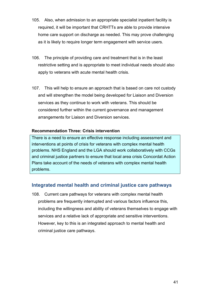- 105. Also, when admission to an appropriate specialist inpatient facility is required, it will be important that CRHTTs are able to provide intensive home care support on discharge as needed. This may prove challenging as it is likely to require longer term engagement with service users.
- 106. The principle of providing care and treatment that is in the least restrictive setting and is appropriate to meet individual needs should also apply to veterans with acute mental health crisis.
- 107. This will help to ensure an approach that is based on care not custody and will strengthen the model being developed for Liaison and Diversion services as they continue to work with veterans. This should be considered further within the current governance and management arrangements for Liaison and Diversion services.

#### **Recommendation Three: Crisis intervention**

There is a need to ensure an effective response including assessment and interventions at points of crisis for veterans with complex mental health problems. NHS England and the LGA should work collaboratively with CCGs and criminal justice partners to ensure that local area crisis Concordat Action Plans take account of the needs of veterans with complex mental health problems.

## **Integrated mental health and criminal justice care pathways**

108. Current care pathways for veterans with complex mental health problems are frequently interrupted and various factors influence this, including the willingness and ability of veterans themselves to engage with services and a relative lack of appropriate and sensitive interventions. However, key to this is an integrated approach to mental health and criminal justice care pathways.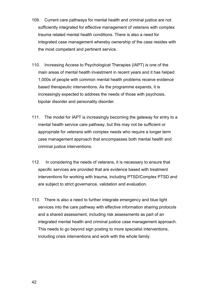- 109. Current care pathways for mental health and criminal justice are not sufficiently integrated for effective management of veterans with complex trauma related mental health conditions. There is also a need for integrated case management whereby ownership of the case resides with the most competent and pertinent service.
- 110. Increasing Access to Psychological Therapies (IAPT) is one of the main areas of mental health investment in recent years and it has helped 1,000s of people with common mental health problems receive evidence based therapeutic interventions. As the programme expands, it is increasingly expected to address the needs of those with psychosis, bipolar disorder and personality disorder.
- 111. The model for IAPT is increasingly becoming the gateway for entry to a mental health service care pathway, but this may not be sufficient or appropriate for veterans with complex needs who require a longer term case management approach that encompasses both mental health and criminal justice interventions.
- 112. In considering the needs of veterans, it is necessary to ensure that specific services are provided that are evidence based with treatment interventions for working with trauma, including PTSD/Complex PTSD and are subject to strict governance, validation and evaluation.
- 113. There is also a need to further integrate emergency and blue light services into the care pathway with effective information sharing protocols and a shared assessment, including risk assessments as part of an integrated mental health and criminal justice case management approach. This needs to go beyond sign posting to more specialist interventions, including crisis interventions and work with the whole family.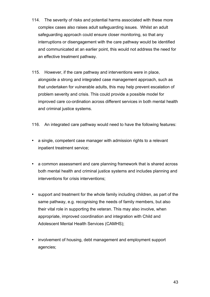- 114. The severity of risks and potential harms associated with these more complex cases also raises adult safeguarding issues. Whilst an adult safeguarding approach could ensure closer monitoring, so that any interruptions or disengagement with the care pathway would be identified and communicated at an earlier point, this would not address the need for an effective treatment pathway.
- 115. However, if the care pathway and interventions were in place, alongside a strong and integrated case management approach, such as that undertaken for vulnerable adults, this may help prevent escalation of problem severity and crisis. This could provide a possible model for improved care co-ordination across different services in both mental health and criminal justice systems.
- 116. An integrated care pathway would need to have the following features:
- a single, competent case manager with admission rights to a relevant inpatient treatment service;
- a common assessment and care planning framework that is shared across both mental health and criminal justice systems and includes planning and interventions for crisis interventions;
- support and treatment for the whole family including children, as part of the same pathway, e.g. recognising the needs of family members, but also their vital role in supporting the veteran. This may also involve, when appropriate, improved coordination and integration with Child and Adolescent Mental Health Services (CAMHS);
- involvement of housing, debt management and employment support agencies;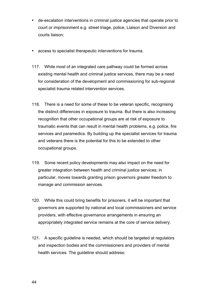- de-escalation interventions in criminal justice agencies that operate prior to court or imprisonment e.g. street triage, police, Liaison and Diversion and courts liaison;
- access to specialist therapeutic interventions for trauma.
- 117. While most of an integrated care pathway could be formed across existing mental health and criminal justice services, there may be a need for consideration of the development and commissioning for sub-regional specialist trauma related intervention services.
- 118. There is a need for some of these to be veteran specific, recognising the distinct differences in exposure to trauma. But there is also increasing recognition that other occupational groups are at risk of exposure to traumatic events that can result in mental health problems, e.g. police, fire services and paramedics. By building up the specialist services for trauma and veterans there is the potential for this to be extended to other occupational groups.
- 119. Some recent policy developments may also impact on the need for greater integration between health and criminal justice services; in particular, moves towards granting prison governors greater freedom to manage and commission services.
- 120. While this could bring benefits for prisoners, it will be important that governors are supported by national and local commissioners and service providers, with effective governance arrangements in ensuring an appropriately integrated service remains at the core of service delivery.
- 121. A specific guideline is needed, which should be targeted at regulators and inspection bodies and the commissioners and providers of mental health services. The guideline should address: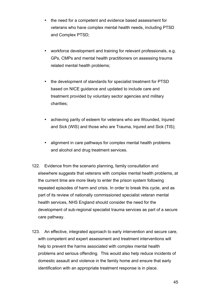- the need for a competent and evidence based assessment for veterans who have complex mental health needs, including PTSD and Complex PTSD;
- workforce development and training for relevant professionals, e.g. GPs, CMPs and mental health practitioners on assessing trauma related mental health problems;
- the development of standards for specialist treatment for PTSD based on NICE guidance and updated to include care and treatment provided by voluntary sector agencies and military charities;
- achieving parity of esteem for veterans who are Wounded, Injured and Sick (WIS) and those who are Trauma, Injured and Sick (TIS);
- alignment in care pathways for complex mental health problems and alcohol and drug treatment services.
- 122. Evidence from the scenario planning, family consultation and elsewhere suggests that veterans with complex mental health problems, at the current time are more likely to enter the prison system following repeated episodes of harm and crisis. In order to break this cycle, and as part of its review of nationally commissioned specialist veteran mental health services, NHS England should consider the need for the development of sub-regional specialist trauma services as part of a secure care pathway.
- 123. An effective, integrated approach to early intervention and secure care, with competent and expert assessment and treatment interventions will help to prevent the harms associated with complex mental health problems and serious offending. This would also help reduce incidents of domestic assault and violence in the family home and ensure that early identification with an appropriate treatment response is in place.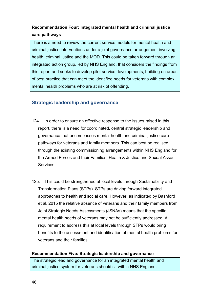## **Recommendation Four: Integrated mental health and criminal justice care pathways**

There is a need to review the current service models for mental health and criminal justice interventions under a joint governance arrangement involving health, criminal justice and the MOD. This could be taken forward through an integrated action group, led by NHS England, that considers the findings from this report and seeks to develop pilot service developments, building on areas of best practice that can meet the identified needs for veterans with complex mental health problems who are at risk of offending.

## **Strategic leadership and governance**

- 124. In order to ensure an effective response to the issues raised in this report, there is a need for coordinated, central strategic leadership and governance that encompasses mental health and criminal justice care pathways for veterans and family members. This can best be realised through the existing commissioning arrangements within NHS England for the Armed Forces and their Families, Health & Justice and Sexual Assault Services.
- 125. This could be strengthened at local levels through Sustainability and Transformation Plans (STPs). STPs are driving forward integrated approaches to health and social care. However, as indicated by Bashford et al, 2015 the relative absence of veterans and their family members from Joint Strategic Needs Assessments (JSNAs) means that the specific mental health needs of veterans may not be sufficiently addressed. A requirement to address this at local levels through STPs would bring benefits to the assessment and identification of mental health problems for veterans and their families.

#### **Recommendation Five: Strategic leadership and governance**

The strategic lead and governance for an integrated mental health and criminal justice system for veterans should sit within NHS England.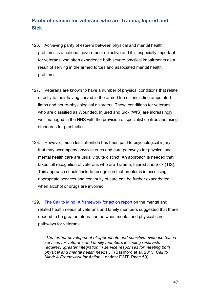# **Parity of esteem for veterans who are Trauma, Injured and Sick**

- 126. Achieving parity of esteem between physical and mental health problems is a national government objective and it is especially important for veterans who often experience both severe physical impairments as a result of serving in the armed forces and associated mental health problems.
- 127. Veterans are known to have a number of physical conditions that relate directly to their having served in the armed forces, including amputated limbs and neuro-physiological disorders. These conditions for veterans who are classified as Wounded, Injured and Sick (WIS) are increasingly well managed in the NHS with the provision of specialist centres and rising standards for prosthetics.
- 128. However, much less attention has been paid to psychological injury that may accompany physical ones and care pathways for physical and mental health care are usually quite distinct. An approach is needed that takes full recognition of veterans who are Trauma, Injured and Sick (TIS). This approach should include recognition that problems in accessing appropriate services and continuity of care can be further exacerbated when alcohol or drugs are involved.
- 129. The Call to Mind: A framework for action report on the mental and related health needs of veterans and family members suggested that there needed to be greater integration between mental and physical care pathways for veterans:

*"The further development of appropriate and sensitive evidence based services for veterans and family members including reservists requires…greater integration in service responses for meeting both physical and mental health needs…"* (Bashford et al. 2015. *Call to Mind: A Framework for Action*. London: FiMT. Page 50)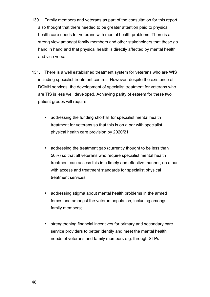- 130. Family members and veterans as part of the consultation for this report also thought that there needed to be greater attention paid to physical health care needs for veterans with mental health problems. There is a strong view amongst family members and other stakeholders that these go hand in hand and that physical health is directly affected by mental health and vice versa.
- 131. There is a well established treatment system for veterans who are WIS including specialist treatment centres. However, despite the existence of DCMH services, the development of specialist treatment for veterans who are TIS is less well developed. Achieving parity of esteem for these two patient groups will require:
	- addressing the funding shortfall for specialist mental health treatment for veterans so that this is on a par with specialist physical health care provision by 2020/21;
	- addressing the treatment gap (currently thought to be less than 50%) so that all veterans who require specialist mental health treatment can access this in a timely and effective manner, on a par with access and treatment standards for specialist physical treatment services;
	- addressing stigma about mental health problems in the armed forces and amongst the veteran population, including amongst family members;
	- strengthening financial incentives for primary and secondary care service providers to better identify and meet the mental health needs of veterans and family members e.g. through STPs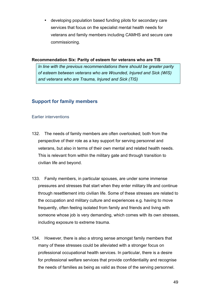• developing population based funding pilots for secondary care services that focus on the specialist mental health needs for veterans and family members including CAMHS and secure care commissioning.

#### **Recommendation Six: Parity of esteem for veterans who are TIS**

*In line with the previous recommendations there should be greater parity of esteem between veterans who are Wounded, Injured and Sick (WIS) and veterans who are Trauma, Injured and Sick (TIS)*

## **Support for family members**

#### Earlier interventions

- 132. The needs of family members are often overlooked; both from the perspective of their role as a key support for serving personnel and veterans, but also in terms of their own mental and related health needs. This is relevant from within the military gate and through transition to civilian life and beyond.
- 133. Family members, in particular spouses, are under some immense pressures and stresses that start when they enter military life and continue through resettlement into civilian life. Some of these stresses are related to the occupation and military culture and experiences e.g. having to move frequently, often feeling isolated from family and friends and living with someone whose job is very demanding, which comes with its own stresses, including exposure to extreme trauma.
- 134. However, there is also a strong sense amongst family members that many of these stresses could be alleviated with a stronger focus on professional occupational health services. In particular, there is a desire for professional welfare services that provide confidentiality and recognise the needs of families as being as valid as those of the serving personnel.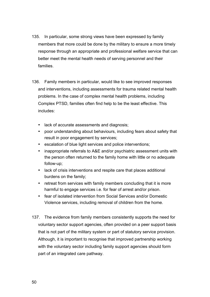- 135. In particular, some strong views have been expressed by family members that more could be done by the military to ensure a more timely response through an appropriate and professional welfare service that can better meet the mental health needs of serving personnel and their families.
- 136. Family members in particular, would like to see improved responses and interventions, including assessments for trauma related mental health problems. In the case of complex mental health problems, including Complex PTSD, families often find help to be the least effective. This includes:
	- lack of accurate assessments and diagnosis;
	- poor understanding about behaviours, including fears about safety that result in poor engagement by services;
	- escalation of blue light services and police interventions;
	- inappropriate referrals to A&E and/or psychiatric assessment units with the person often returned to the family home with little or no adequate follow-up;
	- lack of crisis interventions and respite care that places additional burdens on the family;
	- retreat from services with family members concluding that it is more harmful to engage services i.e. for fear of arrest and/or prison.
	- fear of isolated intervention from Social Services and/or Domestic Violence services, including removal of children from the home.
- 137. The evidence from family members consistently supports the need for voluntary sector support agencies, often provided on a peer support basis that is not part of the military system or part of statutory service provision. Although, it is important to recognise that improved partnership working with the voluntary sector including family support agencies should form part of an integrated care pathway.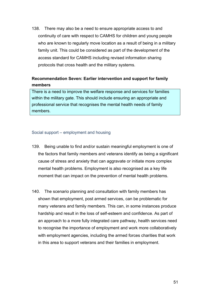138. There may also be a need to ensure appropriate access to and continuity of care with respect to CAMHS for children and young people who are known to regularly move location as a result of being in a military family unit. This could be considered as part of the development of the access standard for CAMHS including revised information sharing protocols that cross health and the military systems.

## **Recommendation Seven: Earlier intervention and support for family members**

There is a need to improve the welfare response and services for families within the military gate. This should include ensuring an appropriate and professional service that recognises the mental health needs of family members.

#### Social support – employment and housing

- 139. Being unable to find and/or sustain meaningful employment is one of the factors that family members and veterans identify as being a significant cause of stress and anxiety that can aggravate or initiate more complex mental health problems. Employment is also recognised as a key life moment that can impact on the prevention of mental health problems.
- 140. The scenario planning and consultation with family members has shown that employment, post armed services, can be problematic for many veterans and family members. This can, in some instances produce hardship and result in the loss of self-esteem and confidence. As part of an approach to a more fully integrated care pathway, health services need to recognise the importance of employment and work more collaboratively with employment agencies, including the armed forces charities that work in this area to support veterans and their families in employment.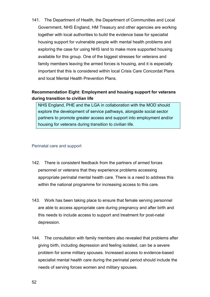141. The Department of Health, the Department of Communities and Local Government, NHS England, HM Treasury and other agencies are working together with local authorities to build the evidence base for specialist housing support for vulnerable people with mental health problems and exploring the case for using NHS land to make more supported housing available for this group. One of the biggest stresses for veterans and family members leaving the armed forces is housing, and it is especially important that this is considered within local Crisis Care Concordat Plans and local Mental Health Prevention Plans.

## **Recommendation Eight: Employment and housing support for veterans during transition to civilian life**

NHS England, PHE and the LGA in collaboration with the MOD should explore the development of service pathways, alongside social sector partners to promote greater access and support into employment and/or housing for veterans during transition to civilian life.

#### Perinatal care and support

- 142. There is consistent feedback from the partners of armed forces personnel or veterans that they experience problems accessing appropriate perinatal mental health care. There is a need to address this within the national programme for increasing access to this care.
- 143. Work has been taking place to ensure that female serving personnel are able to access appropriate care during pregnancy and after birth and this needs to include access to support and treatment for post-natal depression.
- 144. The consultation with family members also revealed that problems after giving birth, including depression and feeling isolated, can be a severe problem for some military spouses. Increased access to evidence-based specialist mental health care during the perinatal period should include the needs of serving forces women and military spouses.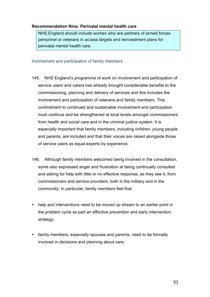#### **Recommendation Nine: Perinatal mental health care**

NHS England should include women who are partners of armed forces personnel or veterans in access targets and reinvestment plans for perinatal mental health care.

Involvement and participation of family members

- 145. NHS England's programme of work on involvement and participation of service users and carers has already brought considerable benefits to the commissioning, planning and delivery of services and this includes the involvement and participation of veterans and family members. This commitment to continued and sustainable involvement and participation must continue and be strengthened at local levels amongst commissioners from health and social care and in the criminal justice system. It is especially important that family members, including children, young people and parents, are included and that their voices are raised alongside those of service users as equal experts by experience.
- 146. Although family members welcomed being involved in the consultation, some also expressed anger and frustration at being continually consulted and asking for help with little or no effective response, as they see it, from commissioners and service providers, both in the military and in the community. In particular, family members feel that:
- help and interventions need to be moved up stream to an earlier point in the problem cycle as part an effective prevention and early intervention strategy;
- family members, especially spouses and parents, need to be formally involved in decisions and planning about care;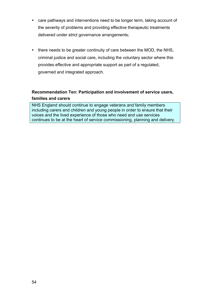- care pathways and interventions need to be longer term, taking account of the severity of problems and providing effective therapeutic treatments delivered under strict governance arrangements;
- there needs to be greater continuity of care between the MOD, the NHS, criminal justice and social care, including the voluntary sector where this provides effective and appropriate support as part of a regulated, governed and integrated approach.

## **Recommendation Ten: Participation and involvement of service users, families and carers**

NHS England should continue to engage veterans and family members including carers and children and young people in order to ensure that their voices and the lived experience of those who need and use services continues to be at the heart of service commissioning, planning and delivery.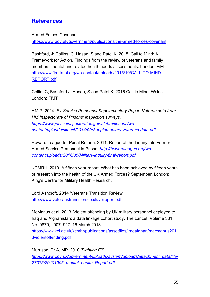# **References**

#### Armed Forces Covenant

https://www.gov.uk/government/publications/the-armed-forces-covenant

Bashford, J; Collins, C; Hasan, S and Patel K. 2015. Call to Mind: A Framework for Action. Findings from the review of veterans and family members' mental and related health needs assessments. London: FiMT http://www.fim-trust.org/wp-content/uploads/2015/10/CALL-TO-MIND-REPORT.pdf

Collin, C; Bashford J; Hasan, S and Patel K. 2016 Call to Mind: Wales London: FiMT

HMIP. 2014. *Ex-Service Personnel Supplementary Paper: Veteran data from HM Inspectorate of Prisons' inspection surveys. https://www.justiceinspectorates.gov.uk/hmiprisons/wpcontent/uploads/sites/4/2014/09/Supplementary-veterans-data.pdf*

Howard League for Penal Reform. 2011. Report of the Inquiry into Former Armed Service Personnel in Prison *http://howardleague.org/wpcontent/uploads/2016/05/Military-inquiry-final-report.pdf*

KCMRH, 2010. A fifteen year report. What has been achieved by fifteen years of research into the health of the UK Armed Forces? September. London: King's Centre for Military Health Research.

Lord Ashcroft. 2014 'Veterans Transition Review'. http://www.veteranstransition.co.uk/vtrreport.pdf

McManus et al. 2013. Violent offending by UK military personnel deployed to Iraq and Afghanistan: a data linkage cohort study. The Lancet. Volume 381, No. 9870, p907–917, 16 March 2013 https://www.kcl.ac.uk/kcmhr/publications/assetfiles/iraqafghan/macmanus201 3violentoffending.pdf

Murrison, Dr A, MP. 2010 *'Fighting Fit' https://www.gov.uk/government/uploads/system/uploads/attachment\_data/file/ 27375/20101006\_mental\_health\_Report.pdf*